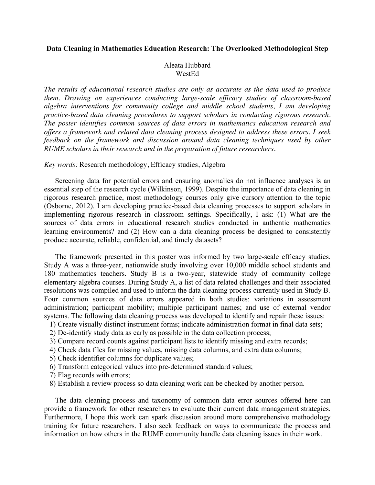## **Data Cleaning in Mathematics Education Research: The Overlooked Methodological Step**

## Aleata Hubbard WestEd

*The results of educational research studies are only as accurate as the data used to produce them. Drawing on experiences conducting large-scale efficacy studies of classroom-based algebra interventions for community college and middle school students, I am developing practice-based data cleaning procedures to support scholars in conducting rigorous research. The poster identifies common sources of data errors in mathematics education research and offers a framework and related data cleaning process designed to address these errors. I seek feedback on the framework and discussion around data cleaning techniques used by other RUME scholars in their research and in the preparation of future researchers.*

*Key words:* Research methodology, Efficacy studies, Algebra

Screening data for potential errors and ensuring anomalies do not influence analyses is an essential step of the research cycle (Wilkinson, 1999). Despite the importance of data cleaning in rigorous research practice, most methodology courses only give cursory attention to the topic (Osborne, 2012). I am developing practice-based data cleaning processes to support scholars in implementing rigorous research in classroom settings. Specifically, I ask: (1) What are the sources of data errors in educational research studies conducted in authentic mathematics learning environments? and (2) How can a data cleaning process be designed to consistently produce accurate, reliable, confidential, and timely datasets?

The framework presented in this poster was informed by two large-scale efficacy studies. Study A was a three-year, nationwide study involving over 10,000 middle school students and 180 mathematics teachers. Study B is a two-year, statewide study of community college elementary algebra courses. During Study A, a list of data related challenges and their associated resolutions was compiled and used to inform the data cleaning process currently used in Study B. Four common sources of data errors appeared in both studies: variations in assessment administration; participant mobility; multiple participant names; and use of external vendor systems. The following data cleaning process was developed to identify and repair these issues:

1) Create visually distinct instrument forms; indicate administration format in final data sets;

- 2) De-identify study data as early as possible in the data collection process;
- 3) Compare record counts against participant lists to identify missing and extra records;
- 4) Check data files for missing values, missing data columns, and extra data columns;
- 5) Check identifier columns for duplicate values;
- 6) Transform categorical values into pre-determined standard values;
- 7) Flag records with errors;
- 8) Establish a review process so data cleaning work can be checked by another person.

The data cleaning process and taxonomy of common data error sources offered here can provide a framework for other researchers to evaluate their current data management strategies. Furthermore, I hope this work can spark discussion around more comprehensive methodology training for future researchers. I also seek feedback on ways to communicate the process and information on how others in the RUME community handle data cleaning issues in their work.